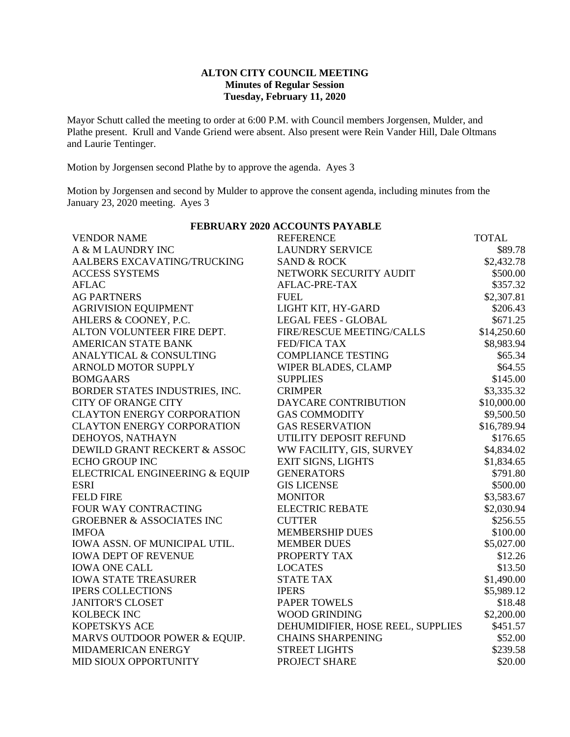## **ALTON CITY COUNCIL MEETING Minutes of Regular Session Tuesday, February 11, 2020**

Mayor Schutt called the meeting to order at 6:00 P.M. with Council members Jorgensen, Mulder, and Plathe present. Krull and Vande Griend were absent. Also present were Rein Vander Hill, Dale Oltmans and Laurie Tentinger.

Motion by Jorgensen second Plathe by to approve the agenda. Ayes 3

Motion by Jorgensen and second by Mulder to approve the consent agenda, including minutes from the January 23, 2020 meeting. Ayes 3

| <b>VENDOR NAME</b>                   | <b>REFERENCE</b>                  | <b>TOTAL</b> |
|--------------------------------------|-----------------------------------|--------------|
| A & M LAUNDRY INC                    | <b>LAUNDRY SERVICE</b>            | \$89.78      |
| AALBERS EXCAVATING/TRUCKING          | <b>SAND &amp; ROCK</b>            | \$2,432.78   |
| <b>ACCESS SYSTEMS</b>                | NETWORK SECURITY AUDIT            | \$500.00     |
| <b>AFLAC</b>                         | AFLAC-PRE-TAX                     | \$357.32     |
| <b>AG PARTNERS</b>                   | <b>FUEL</b>                       | \$2,307.81   |
| <b>AGRIVISION EQUIPMENT</b>          | LIGHT KIT, HY-GARD                | \$206.43     |
| AHLERS & COONEY, P.C.                | <b>LEGAL FEES - GLOBAL</b>        | \$671.25     |
| ALTON VOLUNTEER FIRE DEPT.           | FIRE/RESCUE MEETING/CALLS         | \$14,250.60  |
| <b>AMERICAN STATE BANK</b>           | <b>FED/FICA TAX</b>               | \$8,983.94   |
| ANALYTICAL & CONSULTING              | <b>COMPLIANCE TESTING</b>         | \$65.34      |
| <b>ARNOLD MOTOR SUPPLY</b>           | WIPER BLADES, CLAMP               | \$64.55      |
| <b>BOMGAARS</b>                      | <b>SUPPLIES</b>                   | \$145.00     |
| BORDER STATES INDUSTRIES, INC.       | <b>CRIMPER</b>                    | \$3,335.32   |
| <b>CITY OF ORANGE CITY</b>           | DAYCARE CONTRIBUTION              | \$10,000.00  |
| <b>CLAYTON ENERGY CORPORATION</b>    | <b>GAS COMMODITY</b>              | \$9,500.50   |
| <b>CLAYTON ENERGY CORPORATION</b>    | <b>GAS RESERVATION</b>            | \$16,789.94  |
| DEHOYOS, NATHAYN                     | UTILITY DEPOSIT REFUND            | \$176.65     |
| DEWILD GRANT RECKERT & ASSOC         | WW FACILITY, GIS, SURVEY          | \$4,834.02   |
| <b>ECHO GROUP INC</b>                | EXIT SIGNS, LIGHTS                | \$1,834.65   |
| ELECTRICAL ENGINEERING & EQUIP       | <b>GENERATORS</b>                 | \$791.80     |
| <b>ESRI</b>                          | <b>GIS LICENSE</b>                | \$500.00     |
| <b>FELD FIRE</b>                     | <b>MONITOR</b>                    | \$3,583.67   |
| FOUR WAY CONTRACTING                 | <b>ELECTRIC REBATE</b>            | \$2,030.94   |
| <b>GROEBNER &amp; ASSOCIATES INC</b> | <b>CUTTER</b>                     | \$256.55     |
| <b>IMFOA</b>                         | <b>MEMBERSHIP DUES</b>            | \$100.00     |
| IOWA ASSN. OF MUNICIPAL UTIL.        | <b>MEMBER DUES</b>                | \$5,027.00   |
| <b>IOWA DEPT OF REVENUE</b>          | PROPERTY TAX                      | \$12.26      |
| <b>IOWA ONE CALL</b>                 | <b>LOCATES</b>                    | \$13.50      |
| <b>IOWA STATE TREASURER</b>          | <b>STATE TAX</b>                  | \$1,490.00   |
| <b>IPERS COLLECTIONS</b>             | <b>IPERS</b>                      | \$5,989.12   |
| <b>JANITOR'S CLOSET</b>              | <b>PAPER TOWELS</b>               | \$18.48      |
| <b>KOLBECK INC</b>                   | <b>WOOD GRINDING</b>              | \$2,200.00   |
| KOPETSKYS ACE                        | DEHUMIDIFIER, HOSE REEL, SUPPLIES | \$451.57     |
| MARVS OUTDOOR POWER & EQUIP.         | <b>CHAINS SHARPENING</b>          | \$52.00      |
| MIDAMERICAN ENERGY                   | <b>STREET LIGHTS</b>              | \$239.58     |
| MID SIOUX OPPORTUNITY                | PROJECT SHARE                     | \$20.00      |
|                                      |                                   |              |

**FEBRUARY 2020 ACCOUNTS PAYABLE**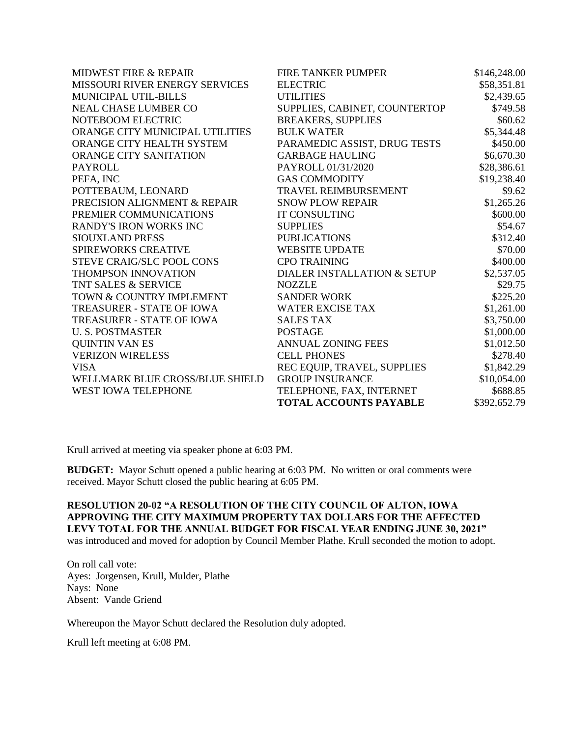| <b>MIDWEST FIRE &amp; REPAIR</b> | FIRE TANKER PUMPER            | \$146,248.00 |
|----------------------------------|-------------------------------|--------------|
| MISSOURI RIVER ENERGY SERVICES   | <b>ELECTRIC</b>               | \$58,351.81  |
| MUNICIPAL UTIL-BILLS             | <b>UTILITIES</b>              | \$2,439.65   |
| <b>NEAL CHASE LUMBER CO</b>      | SUPPLIES, CABINET, COUNTERTOP | \$749.58     |
| NOTEBOOM ELECTRIC                | <b>BREAKERS, SUPPLIES</b>     | \$60.62      |
| ORANGE CITY MUNICIPAL UTILITIES  | <b>BULK WATER</b>             | \$5,344.48   |
| ORANGE CITY HEALTH SYSTEM        | PARAMEDIC ASSIST, DRUG TESTS  | \$450.00     |
| <b>ORANGE CITY SANITATION</b>    | <b>GARBAGE HAULING</b>        | \$6,670.30   |
| PAYROLL                          | PAYROLL 01/31/2020            | \$28,386.61  |
| PEFA, INC                        | <b>GAS COMMODITY</b>          | \$19,238.40  |
| POTTEBAUM, LEONARD               | TRAVEL REIMBURSEMENT          | \$9.62       |
| PRECISION ALIGNMENT & REPAIR     | <b>SNOW PLOW REPAIR</b>       | \$1,265.26   |
| PREMIER COMMUNICATIONS           | <b>IT CONSULTING</b>          | \$600.00     |
| <b>RANDY'S IRON WORKS INC</b>    | <b>SUPPLIES</b>               | \$54.67      |
| <b>SIOUXLAND PRESS</b>           | <b>PUBLICATIONS</b>           | \$312.40     |
| SPIREWORKS CREATIVE              | <b>WEBSITE UPDATE</b>         | \$70.00      |
| STEVE CRAIG/SLC POOL CONS        | <b>CPO TRAINING</b>           | \$400.00     |
| <b>THOMPSON INNOVATION</b>       | DIALER INSTALLATION & SETUP   | \$2,537.05   |
| TNT SALES & SERVICE              | <b>NOZZLE</b>                 | \$29.75      |
| TOWN & COUNTRY IMPLEMENT         | <b>SANDER WORK</b>            | \$225.20     |
| TREASURER - STATE OF IOWA        | <b>WATER EXCISE TAX</b>       | \$1,261.00   |
| <b>TREASURER - STATE OF IOWA</b> | <b>SALES TAX</b>              | \$3,750.00   |
| <b>U.S. POSTMASTER</b>           | <b>POSTAGE</b>                | \$1,000.00   |
| <b>QUINTIN VAN ES</b>            | <b>ANNUAL ZONING FEES</b>     | \$1,012.50   |
| <b>VERIZON WIRELESS</b>          | <b>CELL PHONES</b>            | \$278.40     |
| <b>VISA</b>                      | REC EQUIP, TRAVEL, SUPPLIES   | \$1,842.29   |
| WELLMARK BLUE CROSS/BLUE SHIELD  | <b>GROUP INSURANCE</b>        | \$10,054.00  |
| WEST IOWA TELEPHONE              | TELEPHONE, FAX, INTERNET      | \$688.85     |
|                                  | <b>TOTAL ACCOUNTS PAYABLE</b> | \$392,652.79 |

Krull arrived at meeting via speaker phone at 6:03 PM.

**BUDGET:** Mayor Schutt opened a public hearing at 6:03 PM. No written or oral comments were received. Mayor Schutt closed the public hearing at 6:05 PM.

## **RESOLUTION 20-02 "A RESOLUTION OF THE CITY COUNCIL OF ALTON, IOWA APPROVING THE CITY MAXIMUM PROPERTY TAX DOLLARS FOR THE AFFECTED LEVY TOTAL FOR THE ANNUAL BUDGET FOR FISCAL YEAR ENDING JUNE 30, 2021"**  was introduced and moved for adoption by Council Member Plathe. Krull seconded the motion to adopt.

On roll call vote: Ayes: Jorgensen, Krull, Mulder, Plathe Nays: None Absent: Vande Griend

Whereupon the Mayor Schutt declared the Resolution duly adopted.

Krull left meeting at 6:08 PM.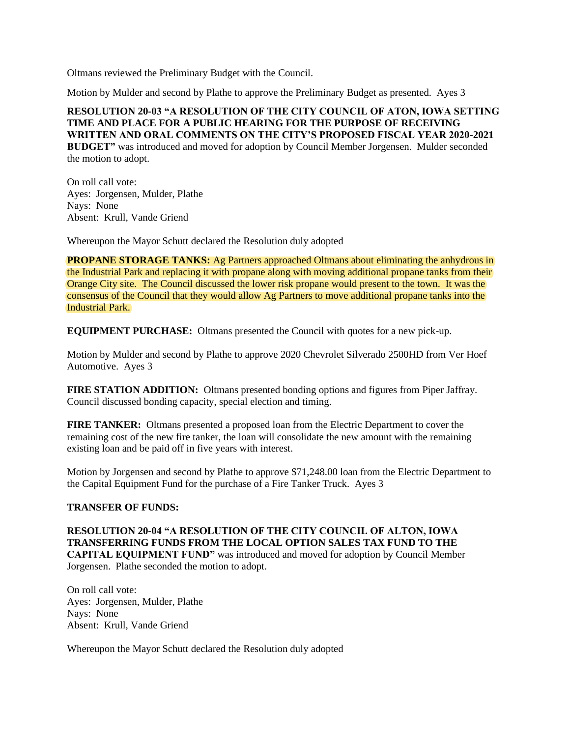Oltmans reviewed the Preliminary Budget with the Council.

Motion by Mulder and second by Plathe to approve the Preliminary Budget as presented. Ayes 3

#### **RESOLUTION 20-03 "A RESOLUTION OF THE CITY COUNCIL OF ATON, IOWA SETTING TIME AND PLACE FOR A PUBLIC HEARING FOR THE PURPOSE OF RECEIVING WRITTEN AND ORAL COMMENTS ON THE CITY'S PROPOSED FISCAL YEAR 2020-2021 BUDGET"** was introduced and moved for adoption by Council Member Jorgensen. Mulder seconded

the motion to adopt.

On roll call vote: Ayes: Jorgensen, Mulder, Plathe Nays: None Absent: Krull, Vande Griend

Whereupon the Mayor Schutt declared the Resolution duly adopted

**PROPANE STORAGE TANKS:** Ag Partners approached Oltmans about eliminating the anhydrous in the Industrial Park and replacing it with propane along with moving additional propane tanks from their Orange City site. The Council discussed the lower risk propane would present to the town. It was the consensus of the Council that they would allow Ag Partners to move additional propane tanks into the Industrial Park.

**EQUIPMENT PURCHASE:** Oltmans presented the Council with quotes for a new pick-up.

Motion by Mulder and second by Plathe to approve 2020 Chevrolet Silverado 2500HD from Ver Hoef Automotive. Ayes 3

**FIRE STATION ADDITION:** Oltmans presented bonding options and figures from Piper Jaffray. Council discussed bonding capacity, special election and timing.

**FIRE TANKER:** Oltmans presented a proposed loan from the Electric Department to cover the remaining cost of the new fire tanker, the loan will consolidate the new amount with the remaining existing loan and be paid off in five years with interest.

Motion by Jorgensen and second by Plathe to approve \$71,248.00 loan from the Electric Department to the Capital Equipment Fund for the purchase of a Fire Tanker Truck. Ayes 3

## **TRANSFER OF FUNDS:**

**RESOLUTION 20-04 "A RESOLUTION OF THE CITY COUNCIL OF ALTON, IOWA TRANSFERRING FUNDS FROM THE LOCAL OPTION SALES TAX FUND TO THE CAPITAL EQUIPMENT FUND"** was introduced and moved for adoption by Council Member Jorgensen. Plathe seconded the motion to adopt.

On roll call vote: Ayes: Jorgensen, Mulder, Plathe Nays: None Absent: Krull, Vande Griend

Whereupon the Mayor Schutt declared the Resolution duly adopted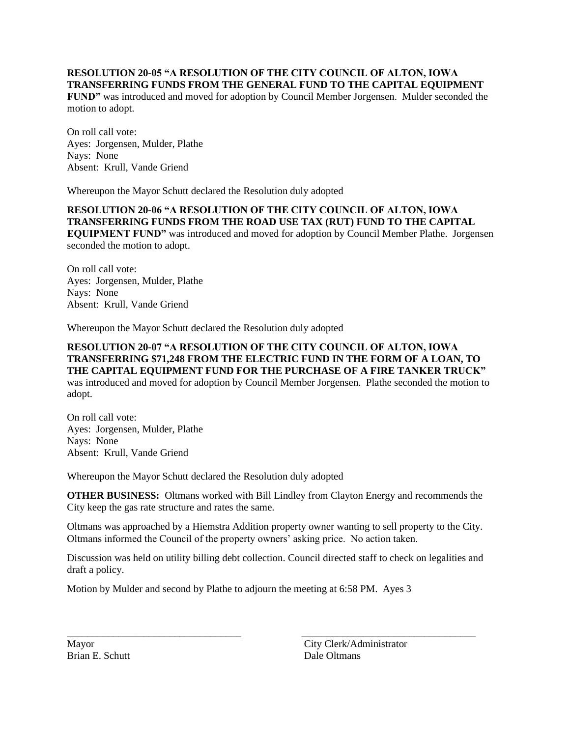#### **RESOLUTION 20-05 "A RESOLUTION OF THE CITY COUNCIL OF ALTON, IOWA TRANSFERRING FUNDS FROM THE GENERAL FUND TO THE CAPITAL EQUIPMENT**

**FUND"** was introduced and moved for adoption by Council Member Jorgensen. Mulder seconded the motion to adopt.

On roll call vote: Ayes: Jorgensen, Mulder, Plathe Nays: None Absent: Krull, Vande Griend

Whereupon the Mayor Schutt declared the Resolution duly adopted

**RESOLUTION 20-06 "A RESOLUTION OF THE CITY COUNCIL OF ALTON, IOWA TRANSFERRING FUNDS FROM THE ROAD USE TAX (RUT) FUND TO THE CAPITAL EQUIPMENT FUND"** was introduced and moved for adoption by Council Member Plathe. Jorgensen seconded the motion to adopt.

On roll call vote: Ayes: Jorgensen, Mulder, Plathe Nays: None Absent: Krull, Vande Griend

Whereupon the Mayor Schutt declared the Resolution duly adopted

# **RESOLUTION 20-07 "A RESOLUTION OF THE CITY COUNCIL OF ALTON, IOWA TRANSFERRING \$71,248 FROM THE ELECTRIC FUND IN THE FORM OF A LOAN, TO THE CAPITAL EQUIPMENT FUND FOR THE PURCHASE OF A FIRE TANKER TRUCK"**

was introduced and moved for adoption by Council Member Jorgensen. Plathe seconded the motion to adopt.

On roll call vote: Ayes: Jorgensen, Mulder, Plathe Nays: None Absent: Krull, Vande Griend

Whereupon the Mayor Schutt declared the Resolution duly adopted

**OTHER BUSINESS:** Oltmans worked with Bill Lindley from Clayton Energy and recommends the City keep the gas rate structure and rates the same.

Oltmans was approached by a Hiemstra Addition property owner wanting to sell property to the City. Oltmans informed the Council of the property owners' asking price. No action taken.

Discussion was held on utility billing debt collection. Council directed staff to check on legalities and draft a policy.

\_\_\_\_\_\_\_\_\_\_\_\_\_\_\_\_\_\_\_\_\_\_\_\_\_\_\_\_\_\_\_\_\_\_ \_\_\_\_\_\_\_\_\_\_\_\_\_\_\_\_\_\_\_\_\_\_\_\_\_\_\_\_\_\_\_\_\_\_

Motion by Mulder and second by Plathe to adjourn the meeting at 6:58 PM. Ayes 3

Brian E. Schutt Dale Oltmans